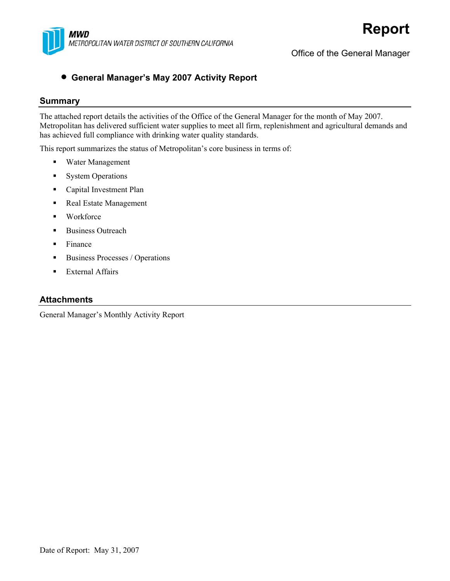

Office of the General Manager

### • **General Manager's May 2007 Activity Report**

#### **Summary**

The attached report details the activities of the Office of the General Manager for the month of May 2007. Metropolitan has delivered sufficient water supplies to meet all firm, replenishment and agricultural demands and has achieved full compliance with drinking water quality standards.

This report summarizes the status of Metropolitan's core business in terms of:

- Water Management
- **System Operations**
- **Capital Investment Plan**
- Real Estate Management
- Workforce
- **Business Outreach**
- $\blacksquare$  Finance
- Business Processes / Operations
- **External Affairs**

#### **Attachments**

General Manager's Monthly Activity Report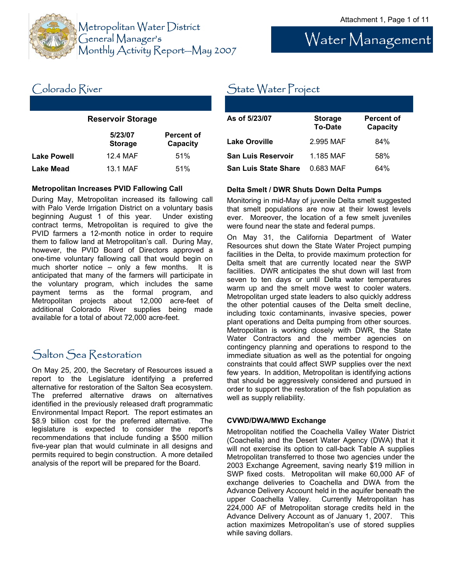Water Management



Metropolitan Water District General Manager's Monthly Activity Report—May 2007

### State Water Project

| As of 5/23/07               | <b>Storage</b><br><b>To-Date</b> | Percent of<br>Capacity |
|-----------------------------|----------------------------------|------------------------|
| Lake Oroville               | 2.995 MAF                        | 84%                    |
| <b>San Luis Reservoir</b>   | 1.185 MAF                        | 58%                    |
| <b>San Luis State Share</b> | 0.683 MAF                        | 64%                    |

#### **Delta Smelt / DWR Shuts Down Delta Pumps**

Monitoring in mid-May of juvenile Delta smelt suggested that smelt populations are now at their lowest levels ever. Moreover, the location of a few smelt juveniles were found near the state and federal pumps.

On May 31, the California Department of Water Resources shut down the State Water Project pumping facilities in the Delta, to provide maximum protection for Delta smelt that are currently located near the SWP facilities. DWR anticipates the shut down will last from seven to ten days or until Delta water temperatures warm up and the smelt move west to cooler waters. Metropolitan urged state leaders to also quickly address the other potential causes of the Delta smelt decline, including toxic contaminants, invasive species, power plant operations and Delta pumping from other sources. Metropolitan is working closely with DWR, the State Water Contractors and the member agencies on contingency planning and operations to respond to the immediate situation as well as the potential for ongoing constraints that could affect SWP supplies over the next few years. In addition, Metropolitan is identifying actions that should be aggressively considered and pursued in order to support the restoration of the fish population as well as supply reliability.

#### **CVWD/DWA/MWD Exchange**

Metropolitan notified the Coachella Valley Water District (Coachella) and the Desert Water Agency (DWA) that it will not exercise its option to call-back Table A supplies Metropolitan transferred to those two agencies under the 2003 Exchange Agreement, saving nearly \$19 million in SWP fixed costs. Metropolitan will make 60,000 AF of exchange deliveries to Coachella and DWA from the Advance Delivery Account held in the aquifer beneath the upper Coachella Valley. Currently Metropolitan has 224,000 AF of Metropolitan storage credits held in the Advance Delivery Account as of January 1, 2007. This action maximizes Metropolitan's use of stored supplies while saving dollars.

# Colorado River

#### **Reservoir Storage**

|                    | 5/23/07<br><b>Storage</b> | <b>Percent of</b><br>Capacity |
|--------------------|---------------------------|-------------------------------|
| <b>Lake Powell</b> | 12.4 MAF                  | 51%                           |
| <b>Lake Mead</b>   | 13.1 MAF                  | 51%                           |

#### **Metropolitan Increases PVID Fallowing Call**

During May, Metropolitan increased its fallowing call with Palo Verde Irrigation District on a voluntary basis beginning August 1 of this year. Under existing contract terms, Metropolitan is required to give the PVID farmers a 12-month notice in order to require them to fallow land at Metropolitan's call. During May, however, the PVID Board of Directors approved a one-time voluntary fallowing call that would begin on much shorter notice – only a few months. It is anticipated that many of the farmers will participate in the voluntary program, which includes the same payment terms as the formal program, and Metropolitan projects about 12,000 acre-feet of additional Colorado River supplies being made available for a total of about 72,000 acre-feet.

### Salton Sea Restoration

On May 25, 200, the Secretary of Resources issued a report to the Legislature identifying a preferred alternative for restoration of the Salton Sea ecosystem. The preferred alternative draws on alternatives identified in the previously released draft programmatic Environmental Impact Report. The report estimates an \$8.9 billion cost for the preferred alternative. The legislature is expected to consider the report's recommendations that include funding a \$500 million five-year plan that would culminate in all designs and permits required to begin construction. A more detailed analysis of the report will be prepared for the Board.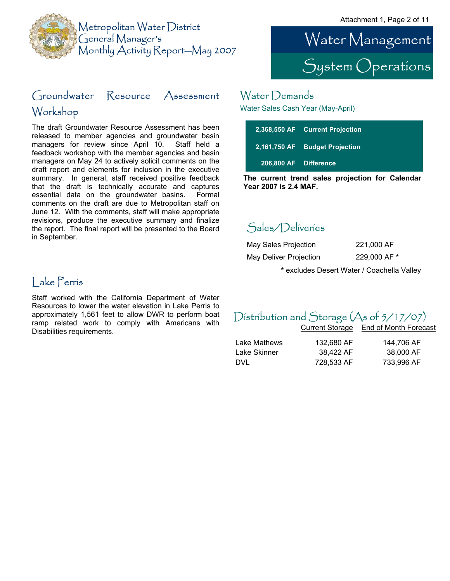

### Groundwater Resource Assessment Workshop

The draft Groundwater Resource Assessment has been released to member agencies and groundwater basin managers for review since April 10. Staff held a feedback workshop with the member agencies and basin managers on May 24 to actively solicit comments on the draft report and elements for inclusion in the executive summary. In general, staff received positive feedback that the draft is technically accurate and captures essential data on the groundwater basins. Formal comments on the draft are due to Metropolitan staff on June 12. With the comments, staff will make appropriate revisions, produce the executive summary and finalize the report. The final report will be presented to the Board in September.



### Water Demands

Water Sales Cash Year (May-April)

|                       | 2,368,550 AF Current Projection |
|-----------------------|---------------------------------|
|                       | 2,161,750 AF Budget Projection  |
| 206.800 AF Difference |                                 |

**The current trend sales projection for Calendar Year 2007 is 2.4 MAF.**

### Sales/Deliveries

| May Sales Projection   | 221,000 AF   |
|------------------------|--------------|
| May Deliver Projection | 229,000 AF * |

**\*** excludes Desert Water / Coachella Valley

### Lake Perris

Staff worked with the California Department of Water Resources to lower the water elevation in Lake Perris to approximately 1,561 feet to allow DWR to perform boat ramp related work to comply with Americans with Disabilities requirements.

### Distribution and Storage (As of 5/17/07)

|              |            | Current Storage End of Month Forecast |
|--------------|------------|---------------------------------------|
| Lake Mathews | 132.680 AF | 144.706 AF                            |
| Lake Skinner | 38.422 AF  | 38,000 AF                             |
| DVL          | 728,533 AF | 733.996 AF                            |
|              |            |                                       |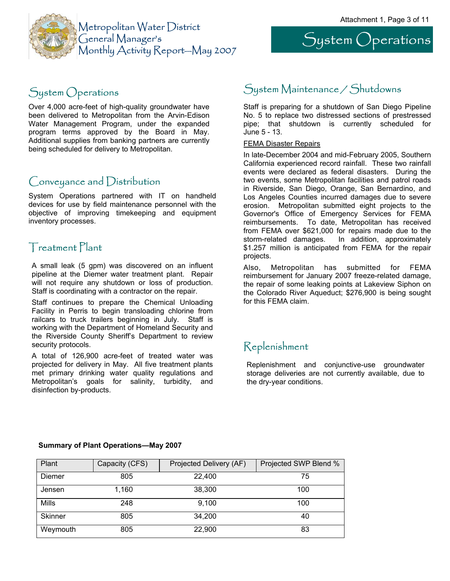

## System Operations

### System Operations

Over 4,000 acre-feet of high-quality groundwater have been delivered to Metropolitan from the Arvin-Edison Water Management Program, under the expanded program terms approved by the Board in May. Additional supplies from banking partners are currently being scheduled for delivery to Metropolitan.

### Conveyance and Distribution

System Operations partnered with IT on handheld devices for use by field maintenance personnel with the objective of improving timekeeping and equipment inventory processes.

### Treatment Plant

A small leak (5 gpm) was discovered on an influent pipeline at the Diemer water treatment plant. Repair will not require any shutdown or loss of production. Staff is coordinating with a contractor on the repair.

Staff continues to prepare the Chemical Unloading Facility in Perris to begin transloading chlorine from railcars to truck trailers beginning in July. Staff is working with the Department of Homeland Security and the Riverside County Sheriff's Department to review security protocols.

A total of 126,900 acre-feet of treated water was projected for delivery in May. All five treatment plants met primary drinking water quality regulations and Metropolitan's goals for salinity, turbidity, and disinfection by-products.

### System Maintenance / Shutdowns

Staff is preparing for a shutdown of San Diego Pipeline No. 5 to replace two distressed sections of prestressed pipe; that shutdown is currently scheduled for June 5 - 13.

#### FEMA Disaster Repairs

In late-December 2004 and mid-February 2005, Southern California experienced record rainfall. These two rainfall events were declared as federal disasters. During the two events, some Metropolitan facilities and patrol roads in Riverside, San Diego, Orange, San Bernardino, and Los Angeles Counties incurred damages due to severe erosion. Metropolitan submitted eight projects to the Governor's Office of Emergency Services for FEMA reimbursements. To date, Metropolitan has received from FEMA over \$621,000 for repairs made due to the storm-related damages. In addition, approximately \$1.257 million is anticipated from FEMA for the repair projects.

Also, Metropolitan has submitted for FEMA reimbursement for January 2007 freeze-related damage, the repair of some leaking points at Lakeview Siphon on the Colorado River Aqueduct; \$276,900 is being sought for this FEMA claim.

### Replenishment

Replenishment and conjunctive-use groundwater storage deliveries are not currently available, due to the dry-year conditions.

| Plant          | Capacity (CFS) | Projected Delivery (AF) | Projected SWP Blend % |
|----------------|----------------|-------------------------|-----------------------|
| Diemer         | 805            | 22,400                  | 75                    |
| Jensen         | 1.160          | 38,300                  | 100                   |
| Mills          | 248            | 9,100                   | 100                   |
| <b>Skinner</b> | 805            | 34,200                  | 40                    |
| Weymouth       | 805            | 22,900                  | 83                    |

#### **Summary of Plant Operations—May 2007**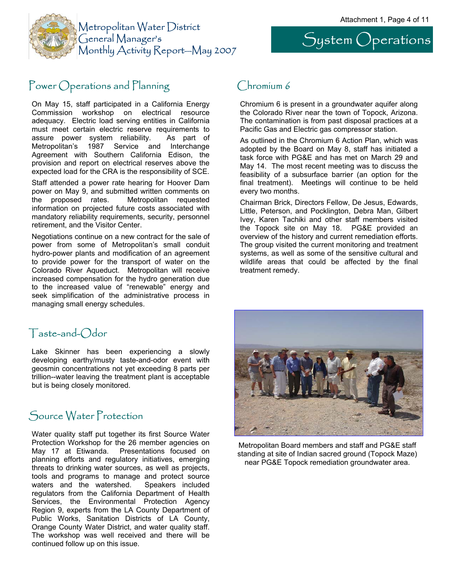System Operations



### Power Operations and Planning Chromium 6

On May 15, staff participated in a California Energy Commission workshop on electrical resource adequacy. Electric load serving entities in California must meet certain electric reserve requirements to assure power system reliability. As part of Metropolitan's 1987 Service and Interchange Agreement with Southern California Edison, the provision and report on electrical reserves above the expected load for the CRA is the responsibility of SCE.

Staff attended a power rate hearing for Hoover Dam power on May 9, and submitted written comments on the proposed rates. Metropolitan requested information on projected future costs associated with mandatory reliability requirements, security, personnel retirement, and the Visitor Center.

Negotiations continue on a new contract for the sale of power from some of Metropolitan's small conduit hydro-power plants and modification of an agreement to provide power for the transport of water on the Colorado River Aqueduct. Metropolitan will receive increased compensation for the hydro generation due to the increased value of "renewable" energy and seek simplification of the administrative process in managing small energy schedules.

Chromium 6 is present in a groundwater aquifer along the Colorado River near the town of Topock, Arizona. The contamination is from past disposal practices at a Pacific Gas and Electric gas compressor station.

As outlined in the Chromium 6 Action Plan, which was adopted by the Board on May 8, staff has initiated a task force with PG&E and has met on March 29 and May 14. The most recent meeting was to discuss the feasibility of a subsurface barrier (an option for the final treatment). Meetings will continue to be held every two months.

Chairman Brick, Directors Fellow, De Jesus, Edwards, Little, Peterson, and Pocklington, Debra Man, Gilbert Ivey, Karen Tachiki and other staff members visited the Topock site on May 18. PG&E provided an overview of the history and current remediation efforts. The group visited the current monitoring and treatment systems, as well as some of the sensitive cultural and wildlife areas that could be affected by the final treatment remedy.

### Taste-and-Odor

Lake Skinner has been experiencing a slowly developing earthy/musty taste-and-odor event with geosmin concentrations not yet exceeding 8 parts per trillion--water leaving the treatment plant is acceptable but is being closely monitored.

### Source Water Protection

Water quality staff put together its first Source Water Protection Workshop for the 26 member agencies on May 17 at Etiwanda. Presentations focused on planning efforts and regulatory initiatives, emerging threats to drinking water sources, as well as projects, tools and programs to manage and protect source waters and the watershed. Speakers included regulators from the California Department of Health Services, the Environmental Protection Agency Region 9, experts from the LA County Department of Public Works, Sanitation Districts of LA County, Orange County Water District, and water quality staff. The workshop was well received and there will be continued follow up on this issue.



Metropolitan Board members and staff and PG&E staff standing at site of Indian sacred ground (Topock Maze) near PG&E Topock remediation groundwater area.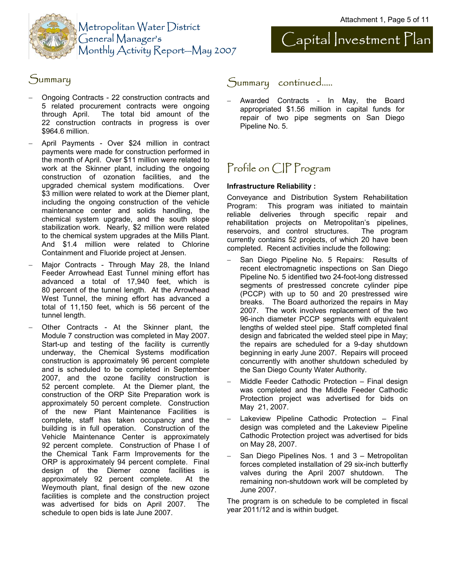



### Summary

- − Ongoing Contracts 22 construction contracts and 5 related procurement contracts were ongoing through April. The total bid amount of the 22 construction contracts in progress is over \$964.6 million.
- − April Payments Over \$24 million in contract payments were made for construction performed in the month of April. Over \$11 million were related to work at the Skinner plant, including the ongoing construction of ozonation facilities, and the upgraded chemical system modifications. Over \$3 million were related to work at the Diemer plant, including the ongoing construction of the vehicle maintenance center and solids handling, the chemical system upgrade, and the south slope stabilization work. Nearly, \$2 million were related to the chemical system upgrades at the Mills Plant. And \$1.4 million were related to Chlorine Containment and Fluoride project at Jensen.
- Major Contracts Through May 28, the Inland Feeder Arrowhead East Tunnel mining effort has advanced a total of 17,940 feet, which is 80 percent of the tunnel length. At the Arrowhead West Tunnel, the mining effort has advanced a total of 11,150 feet, which is 56 percent of the tunnel length.
- − Other Contracts At the Skinner plant, the Module 7 construction was completed in May 2007. Start-up and testing of the facility is currently underway, the Chemical Systems modification construction is approximately 96 percent complete and is scheduled to be completed in September 2007, and the ozone facility construction is 52 percent complete. At the Diemer plant, the construction of the ORP Site Preparation work is approximately 50 percent complete. Construction of the new Plant Maintenance Facilities is complete, staff has taken occupancy and the building is in full operation. Construction of the Vehicle Maintenance Center is approximately 92 percent complete. Construction of Phase I of the Chemical Tank Farm Improvements for the ORP is approximately 94 percent complete. Final design of the Diemer ozone facilities is approximately 92 percent complete. At the Weymouth plant, final design of the new ozone facilities is complete and the construction project was advertised for bids on April 2007. The schedule to open bids is late June 2007.

### Summary continued…..

− Awarded Contracts - In May, the Board appropriated \$1.56 million in capital funds for repair of two pipe segments on San Diego Pipeline No. 5.

### Profile on CIP Program

#### **Infrastructure Reliability :**

Conveyance and Distribution System Rehabilitation Program: This program was initiated to maintain reliable deliveries through specific repair and rehabilitation projects on Metropolitan's pipelines, reservoirs, and control structures. The program currently contains 52 projects, of which 20 have been completed. Recent activities include the following:

- San Diego Pipeline No. 5 Repairs: Results of recent electromagnetic inspections on San Diego Pipeline No. 5 identified two 24-foot-long distressed segments of prestressed concrete cylinder pipe (PCCP) with up to 50 and 20 prestressed wire breaks. The Board authorized the repairs in May 2007. The work involves replacement of the two 96-inch diameter PCCP segments with equivalent lengths of welded steel pipe. Staff completed final design and fabricated the welded steel pipe in May; the repairs are scheduled for a 9-day shutdown beginning in early June 2007. Repairs will proceed concurrently with another shutdown scheduled by the San Diego County Water Authority.
- − Middle Feeder Cathodic Protection Final design was completed and the Middle Feeder Cathodic Protection project was advertised for bids on May 21, 2007.
- Lakeview Pipeline Cathodic Protection Final design was completed and the Lakeview Pipeline Cathodic Protection project was advertised for bids on May 28, 2007.
- San Diego Pipelines Nos. 1 and 3 Metropolitan forces completed installation of 29 six-inch butterfly valves during the April 2007 shutdown. The remaining non-shutdown work will be completed by June 2007.

The program is on schedule to be completed in fiscal year 2011/12 and is within budget.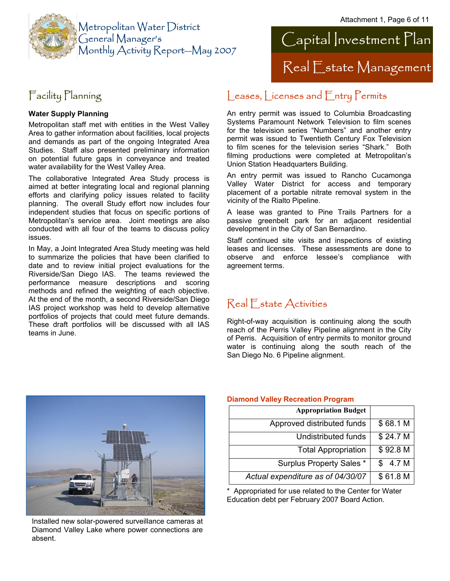



### Facility Planning

#### **Water Supply Planning**

Metropolitan staff met with entities in the West Valley Area to gather information about facilities, local projects and demands as part of the ongoing Integrated Area Studies. Staff also presented preliminary information on potential future gaps in conveyance and treated water availability for the West Valley Area.

The collaborative Integrated Area Study process is aimed at better integrating local and regional planning efforts and clarifying policy issues related to facility planning. The overall Study effort now includes four independent studies that focus on specific portions of Metropolitan's service area. Joint meetings are also conducted with all four of the teams to discuss policy issues.

In May, a Joint Integrated Area Study meeting was held to summarize the policies that have been clarified to date and to review initial project evaluations for the Riverside/San Diego IAS. The teams reviewed the performance measure descriptions and scoring methods and refined the weighting of each objective. At the end of the month, a second Riverside/San Diego IAS project workshop was held to develop alternative portfolios of projects that could meet future demands. These draft portfolios will be discussed with all IAS teams in June.

### Leases, Licenses and Entry Permits

An entry permit was issued to Columbia Broadcasting Systems Paramount Network Television to film scenes for the television series "Numbers" and another entry permit was issued to Twentieth Century Fox Television to film scenes for the television series "Shark." Both filming productions were completed at Metropolitan's Union Station Headquarters Building.

An entry permit was issued to Rancho Cucamonga Valley Water District for access and temporary placement of a portable nitrate removal system in the vicinity of the Rialto Pipeline.

A lease was granted to Pine Trails Partners for a passive greenbelt park for an adjacent residential development in the City of San Bernardino.

Staff continued site visits and inspections of existing leases and licenses. These assessments are done to observe and enforce lessee's compliance with agreement terms.

### Real Estate Activities

Right-of-way acquisition is continuing along the south reach of the Perris Valley Pipeline alignment in the City of Perris. Acquisition of entry permits to monitor ground water is continuing along the south reach of the San Diego No. 6 Pipeline alignment.



Installed new solar-powered surveillance cameras at Diamond Valley Lake where power connections are absent.

#### **Diamond Valley Recreation Program**

| <b>Appropriation Budget</b>       |          |
|-----------------------------------|----------|
| Approved distributed funds        | \$68.1 M |
| Undistributed funds               | \$24.7 M |
| <b>Total Appropriation</b>        | \$92.8 M |
| <b>Surplus Property Sales *</b>   | 4.7 M    |
| Actual expenditure as of 04/30/07 | \$61.8 M |

Appropriated for use related to the Center for Water Education debt per February 2007 Board Action.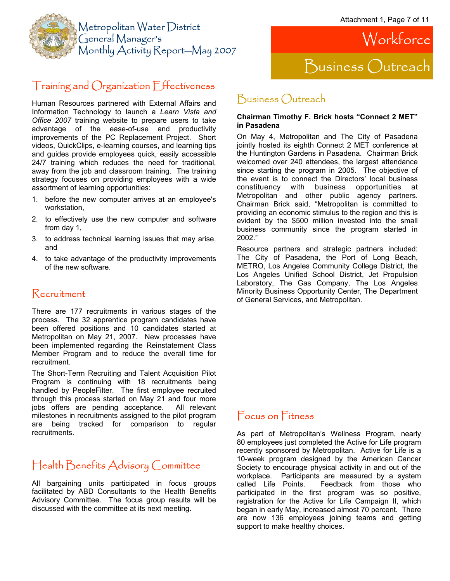

### Training and Organization Effectiveness

Human Resources partnered with External Affairs and Information Technology to launch a *Learn Vista and Office 2007* training website to prepare users to take advantage of the ease-of-use and productivity improvements of the PC Replacement Project. Short videos, QuickClips, e-learning courses, and learning tips and guides provide employees quick, easily accessible 24/7 training which reduces the need for traditional, away from the job and classroom training. The training strategy focuses on providing employees with a wide assortment of learning opportunities:

- 1. before the new computer arrives at an employee's workstation,
- 2. to effectively use the new computer and software from day 1,
- 3. to address technical learning issues that may arise, and
- 4. to take advantage of the productivity improvements of the new software.

### Recruitment

There are 177 recruitments in various stages of the process. The 32 apprentice program candidates have been offered positions and 10 candidates started at Metropolitan on May 21, 2007. New processes have been implemented regarding the Reinstatement Class Member Program and to reduce the overall time for recruitment.

The Short-Term Recruiting and Talent Acquisition Pilot Program is continuing with 18 recruitments being handled by PeopleFilter. The first employee recruited through this process started on May 21 and four more jobs offers are pending acceptance. All relevant milestones in recruitments assigned to the pilot program are being tracked for comparison to regular recruitments.

### Health Benefits Advisory Committee

All bargaining units participated in focus groups facilitated by ABD Consultants to the Health Benefits Advisory Committee. The focus group results will be discussed with the committee at its next meeting.



### Business Outreach

#### **Chairman Timothy F. Brick hosts "Connect 2 MET" in Pasadena**

On May 4, Metropolitan and The City of Pasadena jointly hosted its eighth Connect 2 MET conference at the Huntington Gardens in Pasadena. Chairman Brick welcomed over 240 attendees, the largest attendance since starting the program in 2005. The objective of the event is to connect the Directors' local business constituency with business opportunities at Metropolitan and other public agency partners. Chairman Brick said, "Metropolitan is committed to providing an economic stimulus to the region and this is evident by the \$500 million invested into the small business community since the program started in 2002."

Resource partners and strategic partners included: The City of Pasadena, the Port of Long Beach, METRO, Los Angeles Community College District, the Los Angeles Unified School District, Jet Propulsion Laboratory, The Gas Company, The Los Angeles Minority Business Opportunity Center, The Department of General Services, and Metropolitan.

### Focus on Fitness

As part of Metropolitan's Wellness Program, nearly 80 employees just completed the Active for Life program recently sponsored by Metropolitan. Active for Life is a 10-week program designed by the American Cancer Society to encourage physical activity in and out of the workplace. Participants are measured by a system called Life Points. Feedback from those who participated in the first program was so positive, registration for the Active for Life Campaign II, which began in early May, increased almost 70 percent. There are now 136 employees joining teams and getting support to make healthy choices.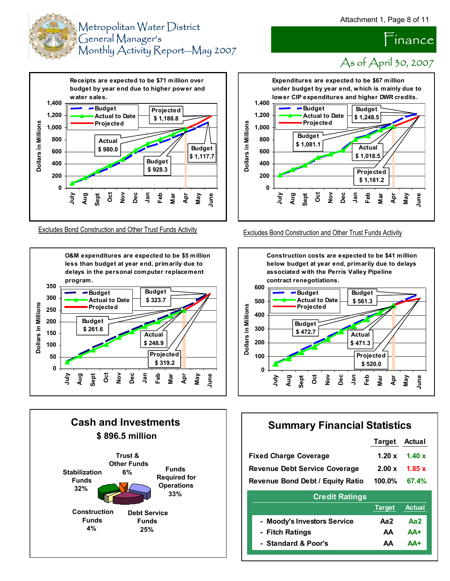Finance















### **Summary Financial Statistics**

**Target Actual**

|                                      | .             | rvwu.         |
|--------------------------------------|---------------|---------------|
| <b>Fixed Charge Coverage</b>         | 1.20 $x$      | 1.40x         |
| <b>Revenue Debt Service Coverage</b> | 2.00 x        | 1.85x         |
| Revenue Bond Debt / Equity Ratio     | 100.0%        | 67.4%         |
| <b>Credit Ratings</b>                |               |               |
|                                      | <b>Target</b> | <b>Actual</b> |
| - Moody's Investors Service          | Aa2           | Aa2           |
| - Fitch Ratings                      | AA            | $AA+$         |
| - Standard & Poor's                  | AΑ            | AA+           |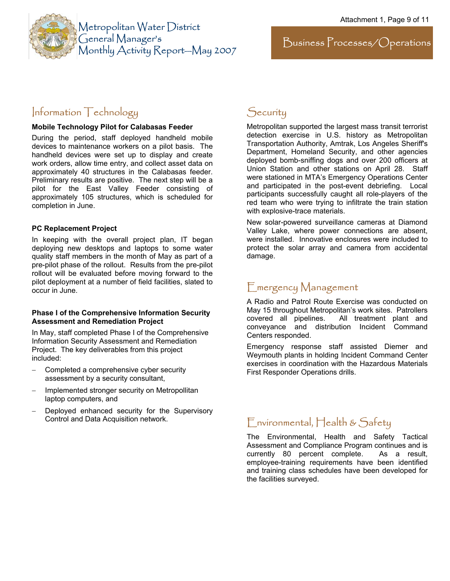

Metropolitan Water District General Manager's Monthly Activity Report—May 2007

### Information Technology

#### **Mobile Technology Pilot for Calabasas Feeder**

During the period, staff deployed handheld mobile devices to maintenance workers on a pilot basis. The handheld devices were set up to display and create work orders, allow time entry, and collect asset data on approximately 40 structures in the Calabasas feeder. Preliminary results are positive. The next step will be a pilot for the East Valley Feeder consisting of approximately 105 structures, which is scheduled for completion in June.

#### **PC Replacement Project**

In keeping with the overall project plan, IT began deploying new desktops and laptops to some water quality staff members in the month of May as part of a pre-pilot phase of the rollout. Results from the pre-pilot rollout will be evaluated before moving forward to the pilot deployment at a number of field facilities, slated to occur in June.

#### **Phase I of the Comprehensive Information Security Assessment and Remediation Project**

In May, staff completed Phase I of the Comprehensive Information Security Assessment and Remediation Project.The key deliverables from this project included:

- − Completed a comprehensive cyber security assessment by a security consultant,
- − Implemented stronger security on Metropollitan laptop computers, and
- Deployed enhanced security for the Supervisory Control and Data Acquisition network.

### **Security**

Metropolitan supported the largest mass transit terrorist detection exercise in U.S. history as Metropolitan Transportation Authority, Amtrak, Los Angeles Sheriff's Department, Homeland Security, and other agencies deployed bomb-sniffing dogs and over 200 officers at Union Station and other stations on April 28. Staff were stationed in MTA's Emergency Operations Center and participated in the post-event debriefing. Local participants successfully caught all role-players of the red team who were trying to infiltrate the train station with explosive-trace materials.

New solar-powered surveillance cameras at Diamond Valley Lake, where power connections are absent, were installed. Innovative enclosures were included to protect the solar array and camera from accidental damage.

### Emergency Management

A Radio and Patrol Route Exercise was conducted on May 15 throughout Metropolitan's work sites. Patrollers<br>covered all pipelines. All treatment plant and All treatment plant and conveyance and distribution Incident Command Centers responded.

Emergency response staff assisted Diemer and Weymouth plants in holding Incident Command Center exercises in coordination with the Hazardous Materials First Responder Operations drills.

### Environmental, Health & Safety

The Environmental, Health and Safety Tactical Assessment and Compliance Program continues and is currently 80 percent complete. As a result, employee-training requirements have been identified and training class schedules have been developed for the facilities surveyed.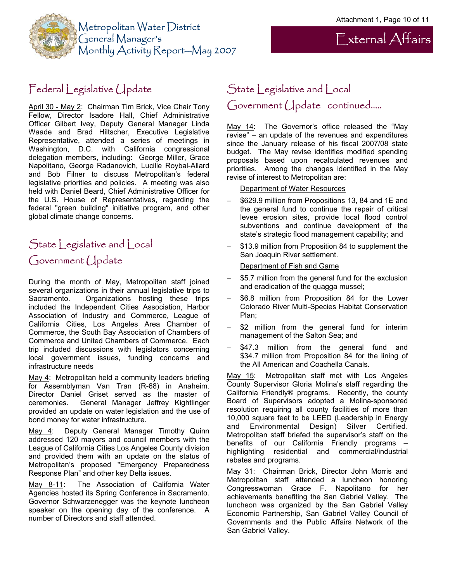External Affairs



### Federal Legislative Update

April 30 - May 2: Chairman Tim Brick, Vice Chair Tony Fellow, Director Isadore Hall, Chief Administrative Officer Gilbert Ivey, Deputy General Manager Linda Waade and Brad Hiltscher, Executive Legislative Representative, attended a series of meetings in Washington, D.C. with California congressional delegation members, including: George Miller, Grace Napolitano, George Radanovich, Lucille Roybal-Allard and Bob Filner to discuss Metropolitan's federal legislative priorities and policies. A meeting was also held with Daniel Beard, Chief Administrative Officer for the U.S. House of Representatives, regarding the federal "green building" initiative program, and other global climate change concerns.

### State Legislative and Local Government Update

During the month of May, Metropolitan staff joined several organizations in their annual legislative trips to Sacramento. Organizations hosting these trips included the Independent Cities Association, Harbor Association of Industry and Commerce, League of California Cities, Los Angeles Area Chamber of Commerce, the South Bay Association of Chambers of Commerce and United Chambers of Commerce. Each trip included discussions with legislators concerning local government issues, funding concerns and infrastructure needs

May 4: Metropolitan held a community leaders briefing for Assemblyman Van Tran (R-68) in Anaheim. Director Daniel Griset served as the master of ceremonies. General Manager Jeffrey Kightlinger provided an update on water legislation and the use of bond money for water infrastructure.

May 4: Deputy General Manager Timothy Quinn addressed 120 mayors and council members with the League of California Cities Los Angeles County division and provided them with an update on the status of Metropolitan's proposed "Emergency Preparedness Response Plan" and other key Delta issues.

May 8-11: The Association of California Water Agencies hosted its Spring Conference in Sacramento. Governor Schwarzenegger was the keynote luncheon speaker on the opening day of the conference. A number of Directors and staff attended.

### State Legislative and Local Government Update continued…..

May 14: The Governor's office released the "May revise" – an update of the revenues and expenditures since the January release of his fiscal 2007/08 state budget. The May revise identifies modified spending proposals based upon recalculated revenues and priorities. Among the changes identified in the May revise of interest to Metropolitan are:

#### Department of Water Resources

- − \$629.9 million from Propositions 13, 84 and 1E and the general fund to continue the repair of critical levee erosion sites, provide local flood control subventions and continue development of the state's strategic flood management capability; and
- \$13.9 million from Proposition 84 to supplement the San Joaquin River settlement.

#### Department of Fish and Game

- \$5.7 million from the general fund for the exclusion and eradication of the quagga mussel;
- \$6.8 million from Proposition 84 for the Lower Colorado River Multi-Species Habitat Conservation Plan;
- − \$2 million from the general fund for interim management of the Salton Sea; and
- \$47.3 million from the general fund and \$34.7 million from Proposition 84 for the lining of the All American and Coachella Canals.

May 15: Metropolitan staff met with Los Angeles County Supervisor Gloria Molina's staff regarding the California Friendly® programs. Recently, the county Board of Supervisors adopted a Molina-sponsored resolution requiring all county facilities of more than 10,000 square feet to be LEED (Leadership in Energy and Environmental Design) Silver Certified. Metropolitan staff briefed the supervisor's staff on the benefits of our California Friendly programs – highlighting residential and commercial/industrial rebates and programs.

May 31: Chairman Brick, Director John Morris and Metropolitan staff attended a luncheon honoring Congresswoman Grace F. Napolitano for her achievements benefiting the San Gabriel Valley. The luncheon was organized by the San Gabriel Valley Economic Partnership, San Gabriel Valley Council of Governments and the Public Affairs Network of the San Gabriel Valley.